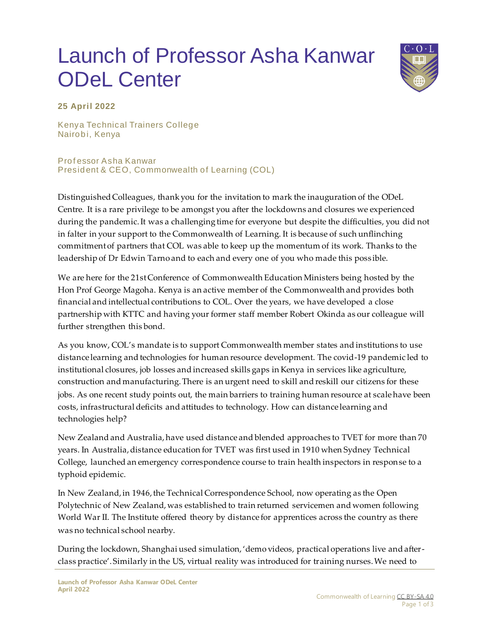## Launch of Professor Asha Kanwar ODeL Center



## **25 April 2022**

Kenya Technical Trainers College Nairobi, Kenya

Prof essor Asha Kanwar President & CEO, Commonwealth of Learning (COL)

Distinguished Colleagues, thank you for the invitation to mark the inauguration of the ODeL Centre. It is a rare privilege to be amongst you after the lockdowns and closures we experienced during the pandemic. It was a challenging time for everyone but despite the difficulties, you did not in falter in your support to the Commonwealth of Learning. It is because of such unflinching commitment of partners that COL was able to keep up the momentum of its work. Thanks to the leadership of Dr Edwin Tarno and to each and every one of you who made this poss ible.

We are here for the 21st Conference of Commonwealth Education Ministers being hosted by the Hon Prof George Magoha. Kenya is an active member of the Commonwealth and provides both financial and intellectual contributions to COL. Over the years, we have developed a close partnership with KTTC and having your former staff member Robert Okinda as our colleague will further strengthen this bond.

As you know, COL's mandate is to support Commonwealth member states and institutions to use distance learning and technologies for human resource development. The covid-19 pandemic led to institutional closures, job losses and increased skills gaps in Kenya in services like agriculture, construction and manufacturing. There is an urgent need to skill and reskill our citizens for these jobs. As one recent study points out, the main barriers to training human resource at scale have been costs, infrastructural deficits and attitudes to technology. How can distance learning and technologies help?

New Zealand and Australia, have used distance and blended approaches to TVET for more than 70 years. In Australia, distance education for TVET was first used in 1910 when Sydney Technical College, launched an emergency correspondence course to train health inspectors in response to a typhoid epidemic.

In New Zealand, in 1946, the Technical Correspondence School, now operating as the Open Polytechnic of New Zealand, was established to train returned servicemen and women following World War II. The Institute offered theory by distance for apprentices across the country as there was no technical school nearby.

During the lockdown, Shanghai used simulation, 'demo videos, practical operations live and afterclass practice'. Similarly in the US, virtual reality was introduced for training nurses. We need to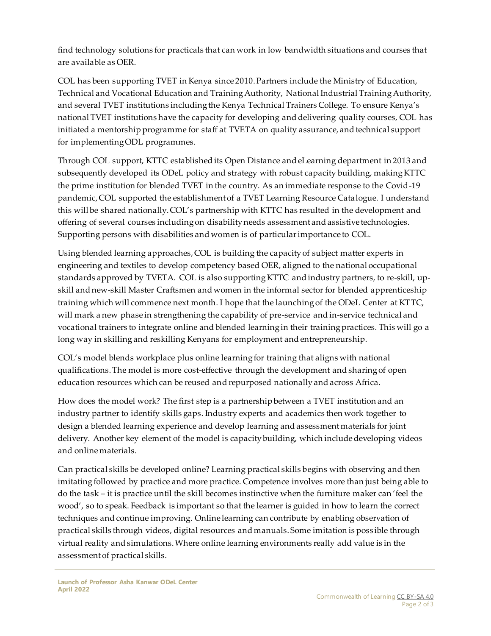find technology solutions for practicals that can work in low bandwidth situations and courses that are available as OER.

COL has been supporting TVET in Kenya since 2010. Partners include the Ministry of Education, Technical and Vocational Education and Training Authority, National Industrial Training Authority, and several TVET institutions including the Kenya Technical Trainers College. To ensure Kenya's national TVET institutions have the capacity for developing and delivering quality courses, COL has initiated a mentorship programme for staff at TVETA on quality assurance, and technical support for implementing ODL programmes.

Through COL support, KTTC established its Open Distance and eLearning department in 2013 and subsequently developed its ODeL policy and strategy with robust capacity building, making KTTC the prime institution for blended TVET in the country. As an immediate response to the Covid-19 pandemic, COL supported the establishment of a TVET Learning Resource Catalogue. I understand this will be shared nationally. COL's partnership with KTTC has resulted in the development and offering of several courses including on disability needs assessment and assistive technologies. Supporting persons with disabilities and women is of particular importance to COL.

Using blended learning approaches, COL is building the capacity of subject matter experts in engineering and textiles to develop competency based OER, aligned to the national occupational standards approved by TVETA. COL is also supporting KTTC and industry partners, to re-skill, upskill and new-skill Master Craftsmen and women in the informal sector for blended apprenticeship training which will commence next month. I hope that the launching of the ODeL Center at KTTC, will mark a new phase in strengthening the capability of pre-service and in-service technical and vocational trainers to integrate online and blended learning in their training practices. This will go a long way in skilling and reskilling Kenyans for employment and entrepreneurship.

COL's model blends workplace plus online learning for training that aligns with national qualifications. The model is more cost-effective through the development and sharing of open education resources which can be reused and repurposed nationally and across Africa.

How does the model work? The first step is a partnership between a TVET institution and an industry partner to identify skills gaps. Industry experts and academics then work together to design a blended learning experience and develop learning and assessment materials for joint delivery. Another key element of the model is capacity building, which include developing videos and online materials.

Can practical skills be developed online? Learning practical skills begins with observing and then imitating followed by practice and more practice. Competence involves more than just being able to do the task – it is practice until the skill becomes instinctive when the furniture maker can 'feel the wood', so to speak. Feedback is important so that the learner is guided in how to learn the correct techniques and continue improving. Online learning can contribute by enabling observation of practical skills through videos, digital resources and manuals. Some imitation is poss ible through virtual reality and simulations. Where online learning environments really add value is in the assessment of practical skills.